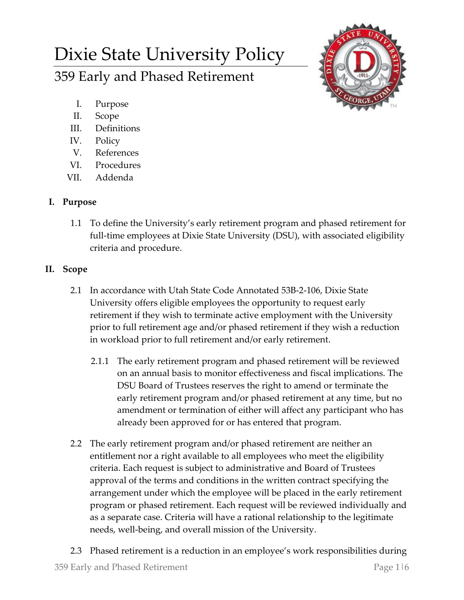# Dixie State University Policy

359 Early and Phased Retirement

- I. Purpose
- II. Scope
- III. Definitions
- IV. Policy
- V. References
- VI. Procedures
- VII. Addenda

# **I. Purpose**

1.1 To define the University's early retirement program and phased retirement for full-time employees at Dixie State University (DSU), with associated eligibility criteria and procedure.

# **II. Scope**

- 2.1 In accordance with Utah State Code Annotated 53B-2-106, Dixie State University offers eligible employees the opportunity to request early retirement if they wish to terminate active employment with the University prior to full retirement age and/or phased retirement if they wish a reduction in workload prior to full retirement and/or early retirement.
	- 2.1.1 The early retirement program and phased retirement will be reviewed on an annual basis to monitor effectiveness and fiscal implications. The DSU Board of Trustees reserves the right to amend or terminate the early retirement program and/or phased retirement at any time, but no amendment or termination of either will affect any participant who has already been approved for or has entered that program.
- 2.2 The early retirement program and/or phased retirement are neither an entitlement nor a right available to all employees who meet the eligibility criteria. Each request is subject to administrative and Board of Trustees approval of the terms and conditions in the written contract specifying the arrangement under which the employee will be placed in the early retirement program or phased retirement. Each request will be reviewed individually and as a separate case. Criteria will have a rational relationship to the legitimate needs, well-being, and overall mission of the University.
- 359 Early and Phased Retirement Page 1|6 2.3 Phased retirement is a reduction in an employee's work responsibilities during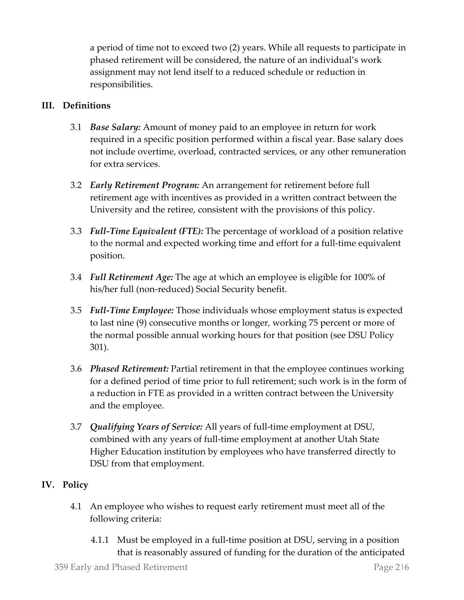a period of time not to exceed two (2) years. While all requests to participate in phased retirement will be considered, the nature of an individual's work assignment may not lend itself to a reduced schedule or reduction in responsibilities.

## **III. Definitions**

- 3.1 *Base Salary:* Amount of money paid to an employee in return for work required in a specific position performed within a fiscal year. Base salary does not include overtime, overload, contracted services, or any other remuneration for extra services.
- 3.2 *Early Retirement Program:* An arrangement for retirement before full retirement age with incentives as provided in a written contract between the University and the retiree, consistent with the provisions of this policy.
- 3.3 *Full-Time Equivalent (FTE):* The percentage of workload of a position relative to the normal and expected working time and effort for a full-time equivalent position.
- 3.4 *Full Retirement Age:* The age at which an employee is eligible for 100% of his/her full (non-reduced) Social Security benefit.
- 3.5 *Full-Time Employee:* Those individuals whose employment status is expected to last nine (9) consecutive months or longer, working 75 percent or more of the normal possible annual working hours for that position (see DSU Policy 301).
- 3.6 *Phased Retirement:* Partial retirement in that the employee continues working for a defined period of time prior to full retirement; such work is in the form of a reduction in FTE as provided in a written contract between the University and the employee.
- 3.7 *Qualifying Years of Service:* All years of full-time employment at DSU, combined with any years of full-time employment at another Utah State Higher Education institution by employees who have transferred directly to DSU from that employment.

## **IV. Policy**

- 4.1 An employee who wishes to request early retirement must meet all of the following criteria:
	- 4.1.1 Must be employed in a full-time position at DSU, serving in a position that is reasonably assured of funding for the duration of the anticipated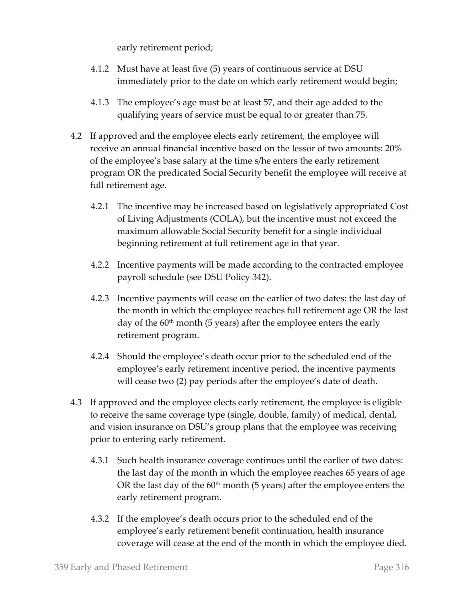early retirement period;

- 4.1.2 Must have at least five (5) years of continuous service at DSU immediately prior to the date on which early retirement would begin;
- 4.1.3 The employee's age must be at least 57, and their age added to the qualifying years of service must be equal to or greater than 75.
- 4.2 If approved and the employee elects early retirement, the employee will receive an annual financial incentive based on the lessor of two amounts: 20% of the employee's base salary at the time s/he enters the early retirement program OR the predicated Social Security benefit the employee will receive at full retirement age.
	- 4.2.1 The incentive may be increased based on legislatively appropriated Cost of Living Adjustments (COLA), but the incentive must not exceed the maximum allowable Social Security benefit for a single individual beginning retirement at full retirement age in that year.
	- 4.2.2 Incentive payments will be made according to the contracted employee payroll schedule (see DSU Policy 342).
	- 4.2.3 Incentive payments will cease on the earlier of two dates: the last day of the month in which the employee reaches full retirement age OR the last day of the  $60<sup>th</sup>$  month (5 years) after the employee enters the early retirement program.
	- 4.2.4 Should the employee's death occur prior to the scheduled end of the employee's early retirement incentive period, the incentive payments will cease two (2) pay periods after the employee's date of death.
- 4.3 If approved and the employee elects early retirement, the employee is eligible to receive the same coverage type (single, double, family) of medical, dental, and vision insurance on DSU's group plans that the employee was receiving prior to entering early retirement.
	- 4.3.1 Such health insurance coverage continues until the earlier of two dates: the last day of the month in which the employee reaches 65 years of age OR the last day of the  $60<sup>th</sup>$  month (5 years) after the employee enters the early retirement program.
	- 4.3.2 If the employee's death occurs prior to the scheduled end of the employee's early retirement benefit continuation, health insurance coverage will cease at the end of the month in which the employee died.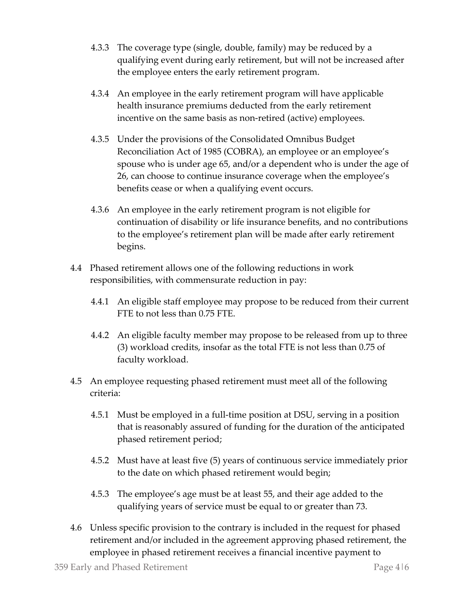- 4.3.3 The coverage type (single, double, family) may be reduced by a qualifying event during early retirement, but will not be increased after the employee enters the early retirement program.
- 4.3.4 An employee in the early retirement program will have applicable health insurance premiums deducted from the early retirement incentive on the same basis as non-retired (active) employees.
- 4.3.5 Under the provisions of the Consolidated Omnibus Budget Reconciliation Act of 1985 (COBRA), an employee or an employee's spouse who is under age 65, and/or a dependent who is under the age of 26, can choose to continue insurance coverage when the employee's benefits cease or when a qualifying event occurs.
- 4.3.6 An employee in the early retirement program is not eligible for continuation of disability or life insurance benefits, and no contributions to the employee's retirement plan will be made after early retirement begins.
- 4.4 Phased retirement allows one of the following reductions in work responsibilities, with commensurate reduction in pay:
	- 4.4.1 An eligible staff employee may propose to be reduced from their current FTE to not less than 0.75 FTE.
	- 4.4.2 An eligible faculty member may propose to be released from up to three (3) workload credits, insofar as the total FTE is not less than 0.75 of faculty workload.
- 4.5 An employee requesting phased retirement must meet all of the following criteria:
	- 4.5.1 Must be employed in a full-time position at DSU, serving in a position that is reasonably assured of funding for the duration of the anticipated phased retirement period;
	- 4.5.2 Must have at least five (5) years of continuous service immediately prior to the date on which phased retirement would begin;
	- 4.5.3 The employee's age must be at least 55, and their age added to the qualifying years of service must be equal to or greater than 73.
- 4.6 Unless specific provision to the contrary is included in the request for phased retirement and/or included in the agreement approving phased retirement, the employee in phased retirement receives a financial incentive payment to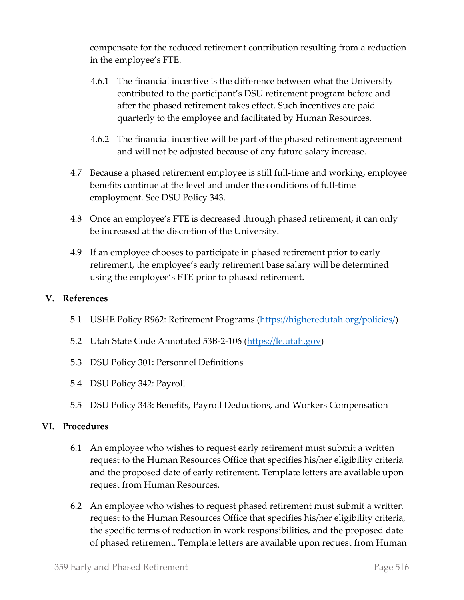compensate for the reduced retirement contribution resulting from a reduction in the employee's FTE.

- 4.6.1 The financial incentive is the difference between what the University contributed to the participant's DSU retirement program before and after the phased retirement takes effect. Such incentives are paid quarterly to the employee and facilitated by Human Resources.
- 4.6.2 The financial incentive will be part of the phased retirement agreement and will not be adjusted because of any future salary increase.
- 4.7 Because a phased retirement employee is still full-time and working, employee benefits continue at the level and under the conditions of full-time employment. See DSU Policy 343.
- 4.8 Once an employee's FTE is decreased through phased retirement, it can only be increased at the discretion of the University.
- 4.9 If an employee chooses to participate in phased retirement prior to early retirement, the employee's early retirement base salary will be determined using the employee's FTE prior to phased retirement.

#### **V. References**

- 5.1 USHE Policy R962: Retirement Programs [\(https://higheredutah.org/policies/\)](https://higheredutah.org/policies/)
- 5.2 Utah State Code Annotated 53B-2-106 [\(https://le.utah.gov\)](https://le.utah.gov/)
- 5.3 DSU Policy 301: Personnel Definitions
- 5.4 DSU Policy 342: Payroll
- 5.5 DSU Policy 343: Benefits, Payroll Deductions, and Workers Compensation

#### **VI. Procedures**

- 6.1 An employee who wishes to request early retirement must submit a written request to the Human Resources Office that specifies his/her eligibility criteria and the proposed date of early retirement. Template letters are available upon request from Human Resources.
- 6.2 An employee who wishes to request phased retirement must submit a written request to the Human Resources Office that specifies his/her eligibility criteria, the specific terms of reduction in work responsibilities, and the proposed date of phased retirement. Template letters are available upon request from Human